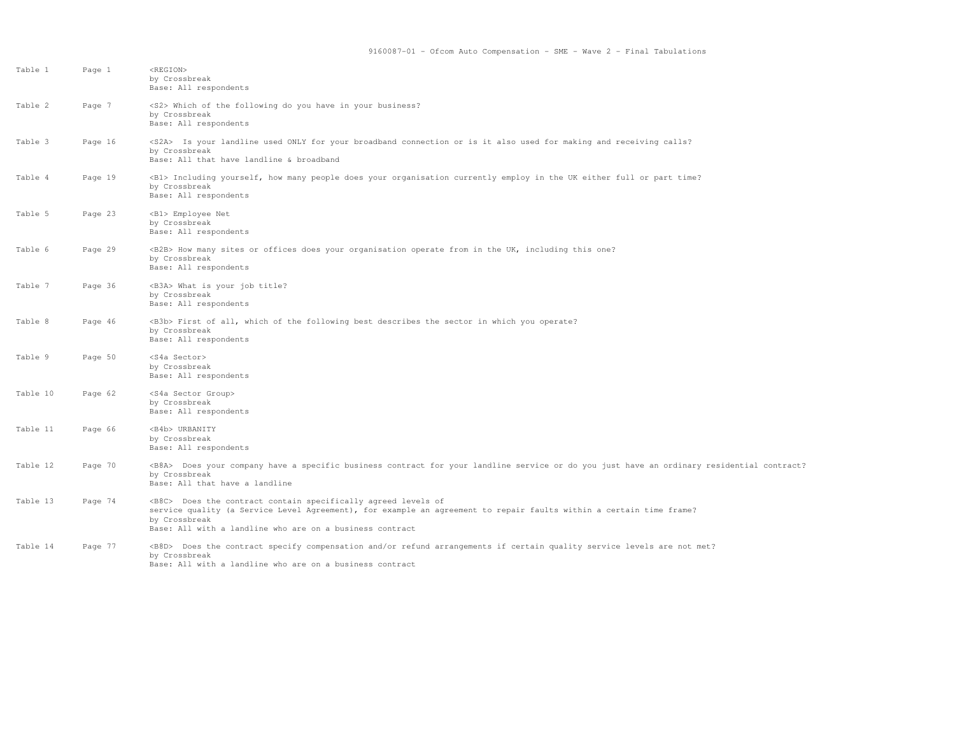| Table 1  | Page 1  | <region><br/>by Crossbreak<br/>Base: All respondents</region>                                                                                                                                                                                                              |
|----------|---------|----------------------------------------------------------------------------------------------------------------------------------------------------------------------------------------------------------------------------------------------------------------------------|
| Table 2  | Page 7  | <s2> Which of the following do you have in your business?<br/>by Crossbreak<br/>Base: All respondents</s2>                                                                                                                                                                 |
| Table 3  | Page 16 | <s2a> Is your landline used ONLY for your broadband connection or is it also used for making and receiving calls?<br/>by Crossbreak<br/>Base: All that have landline &amp; broadband</s2a>                                                                                 |
| Table 4  | Page 19 | <b1> Including yourself, how many people does your organisation currently employ in the UK either full or part time?<br/>by Crossbreak<br/>Base: All respondents</b1>                                                                                                      |
| Table 5  | Page 23 | <b1> Employee Net<br/>by Crossbreak<br/>Base: All respondents</b1>                                                                                                                                                                                                         |
| Table 6  | Page 29 | <b2b> How many sites or offices does your organisation operate from in the UK, including this one?<br/>by Crossbreak<br/>Base: All respondents</b2b>                                                                                                                       |
| Table 7  | Page 36 | <b3a> What is your job title?<br/>by Crossbreak<br/>Base: All respondents</b3a>                                                                                                                                                                                            |
| Table 8  | Page 46 | <b3b> First of all, which of the following best describes the sector in which you operate?<br/>by Crossbreak<br/>Base: All respondents</b3b>                                                                                                                               |
| Table 9  | Page 50 | <s4a sector=""><br/>by Crossbreak<br/>Base: All respondents</s4a>                                                                                                                                                                                                          |
| Table 10 | Page 62 | <s4a group="" sector=""><br/>by Crossbreak<br/>Base: All respondents</s4a>                                                                                                                                                                                                 |
| Table 11 | Page 66 | <b4b> URBANITY<br/>by Crossbreak<br/>Base: All respondents</b4b>                                                                                                                                                                                                           |
| Table 12 | Page 70 | <b8a> Does your company have a specific business contract for your landline service or do you just have an ordinary residential contract?<br/>by Crossbreak<br/>Base: All that have a landline</b8a>                                                                       |
| Table 13 | Page 74 | <b8c> Does the contract contain specifically agreed levels of<br/>service quality (a Service Level Agreement), for example an agreement to repair faults within a certain time frame?<br/>by Crossbreak<br/>Base: All with a landline who are on a business contract</b8c> |
| Table 14 | Page 77 | <b8d> Does the contract specify compensation and/or refund arrangements if certain quality service levels are not met?<br/>by Crossbreak<br/>Base: All with a landline who are on a business contract</b8d>                                                                |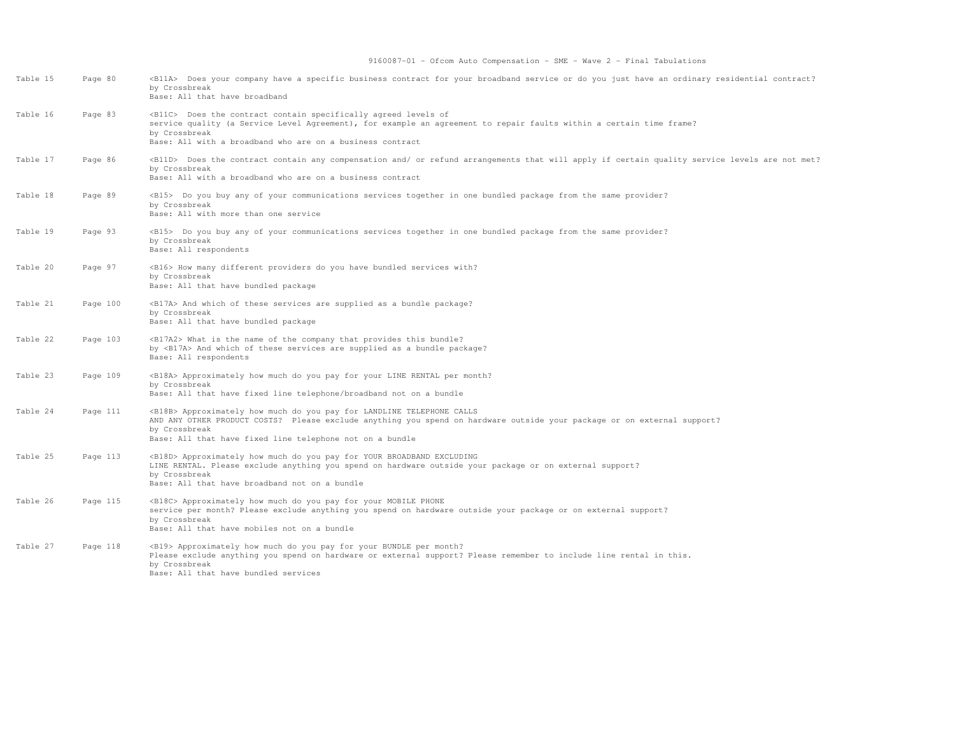| Table 15 | Page 80  | <blla> Does your company have a specific business contract for your broadband service or do you just have an ordinary residential contract?<br/>by Crossbreak<br/>Base: All that have broadband</blla>                                                                                  |
|----------|----------|-----------------------------------------------------------------------------------------------------------------------------------------------------------------------------------------------------------------------------------------------------------------------------------------|
| Table 16 | Page 83  | <b11c> Does the contract contain specifically agreed levels of<br/>service quality (a Service Level Agreement), for example an agreement to repair faults within a certain time frame?<br/>by Crossbreak<br/>Base: All with a broadband who are on a business contract</b11c>           |
| Table 17 | Page 86  | <b11d> Does the contract contain any compensation and/ or refund arrangements that will apply if certain quality service levels are not met?<br/>by Crossbreak<br/>Base: All with a broadband who are on a business contract</b11d>                                                     |
| Table 18 | Page 89  | <b15> Do you buy any of your communications services together in one bundled package from the same provider?<br/>by Crossbreak<br/>Base: All with more than one service</b15>                                                                                                           |
| Table 19 | Page 93  | <b15> Do you buy any of your communications services together in one bundled package from the same provider?<br/>by Crossbreak<br/>Base: All respondents</b15>                                                                                                                          |
| Table 20 | Page 97  | <b16> How many different providers do you have bundled services with?<br/>by Crossbreak<br/>Base: All that have bundled package</b16>                                                                                                                                                   |
| Table 21 | Page 100 | <b17a> And which of these services are supplied as a bundle package?<br/>by Crossbreak<br/>Base: All that have bundled package</b17a>                                                                                                                                                   |
| Table 22 | Page 103 | <b17a2> What is the name of the company that provides this bundle?<br/>by <b17a> And which of these services are supplied as a bundle package?<br/>Base: All respondents</b17a></b17a2>                                                                                                 |
| Table 23 | Page 109 | <b18a> Approximately how much do you pay for your LINE RENTAL per month?<br/>by Crossbreak<br/>Base: All that have fixed line telephone/broadband not on a bundle</b18a>                                                                                                                |
| Table 24 | Page 111 | <b18b> Approximately how much do you pay for LANDLINE TELEPHONE CALLS<br/>AND ANY OTHER PRODUCT COSTS? Please exclude anything you spend on hardware outside your package or on external support?<br/>by Crossbreak<br/>Base: All that have fixed line telephone not on a bundle</b18b> |
| Table 25 | Page 113 | <b18d> Approximately how much do you pay for YOUR BROADBAND EXCLUDING<br/>LINE RENTAL. Please exclude anything you spend on hardware outside your package or on external support?<br/>by Crossbreak<br/>Base: All that have broadband not on a bundle</b18d>                            |
| Table 26 | Page 115 | <b18c> Approximately how much do you pay for your MOBILE PHONE<br/>service per month? Please exclude anything you spend on hardware outside your package or on external support?<br/>by Crossbreak<br/>Base: All that have mobiles not on a bundle</b18c>                               |
| Table 27 | Page 118 | <b19> Approximately how much do you pay for your BUNDLE per month?<br/>Please exclude anything you spend on hardware or external support? Please remember to include line rental in this.<br/>by Crossbreak<br/>Base: All that have bundled services</b19>                              |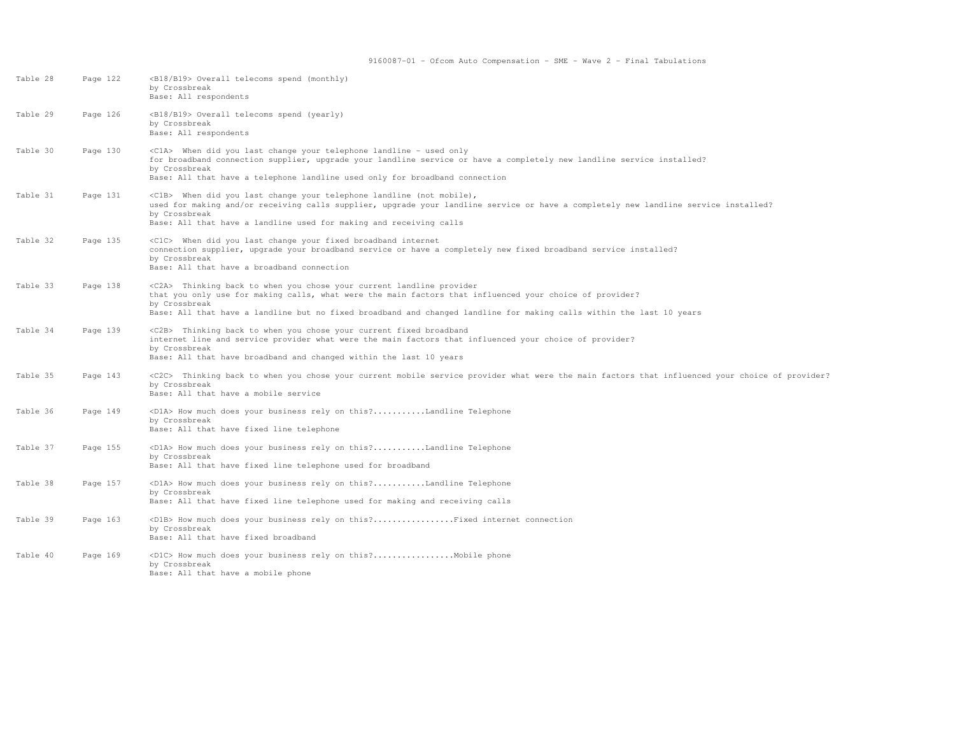| Table 28 | Page 122 | <b18 b19=""> Overall telecoms spend (monthly)<br/>by Crossbreak<br/>Base: All respondents</b18>                                                                                                                                                                                                                                   |
|----------|----------|-----------------------------------------------------------------------------------------------------------------------------------------------------------------------------------------------------------------------------------------------------------------------------------------------------------------------------------|
| Table 29 | Page 126 | <b18 b19=""> Overall telecoms spend (yearly)<br/>by Crossbreak<br/>Base: All respondents</b18>                                                                                                                                                                                                                                    |
| Table 30 | Page 130 | <c1a> When did you last change your telephone landline - used only<br/>for broadband connection supplier, upgrade your landline service or have a completely new landline service installed?<br/>by Crossbreak<br/>Base: All that have a telephone landline used only for broadband connection</c1a>                              |
| Table 31 | Page 131 | <c1b> When did you last change your telephone landline (not mobile),<br/>used for making and/or receiving calls supplier, upgrade your landline service or have a completely new landline service installed?<br/>by Crossbreak<br/>Base: All that have a landline used for making and receiving calls</c1b>                       |
| Table 32 | Page 135 | <c1c> When did you last change your fixed broadband internet<br/>connection supplier, upgrade your broadband service or have a completely new fixed broadband service installed?<br/>by Crossbreak<br/>Base: All that have a broadband connection</c1c>                                                                           |
| Table 33 | Page 138 | <c2a> Thinking back to when you chose your current landline provider<br/>that you only use for making calls, what were the main factors that influenced your choice of provider?<br/>by Crossbreak<br/>Base: All that have a landline but no fixed broadband and changed landline for making calls within the last 10 years</c2a> |
| Table 34 | Page 139 | <c2b> Thinking back to when you chose your current fixed broadband<br/>internet line and service provider what were the main factors that influenced your choice of provider?<br/>by Crossbreak<br/>Base: All that have broadband and changed within the last 10 years</c2b>                                                      |
| Table 35 | Page 143 | <c2c> Thinking back to when you chose your current mobile service provider what were the main factors that influenced your choice of provider?<br/>by Crossbreak<br/>Base: All that have a mobile service</c2c>                                                                                                                   |
| Table 36 | Page 149 | <dla> How much does your business rely on this?Landline Telephone<br/>by Crossbreak<br/>Base: All that have fixed line telephone</dla>                                                                                                                                                                                            |
| Table 37 | Page 155 | <dla> How much does your business rely on this?Landline Telephone<br/>by Crossbreak<br/>Base: All that have fixed line telephone used for broadband</dla>                                                                                                                                                                         |
| Table 38 | Page 157 | <dla> How much does your business rely on this?Landline Telephone<br/>by Crossbreak<br/>Base: All that have fixed line telephone used for making and receiving calls</dla>                                                                                                                                                        |
| Table 39 | Page 163 | <d1b> How much does your business rely on this?Fixed internet connection<br/>by Crossbreak<br/>Base: All that have fixed broadband</d1b>                                                                                                                                                                                          |
| Table 40 | Page 169 | <d1c> How much does your business rely on this?Mobile phone<br/>by Crossbreak<br/>Base: All that have a mobile phone</d1c>                                                                                                                                                                                                        |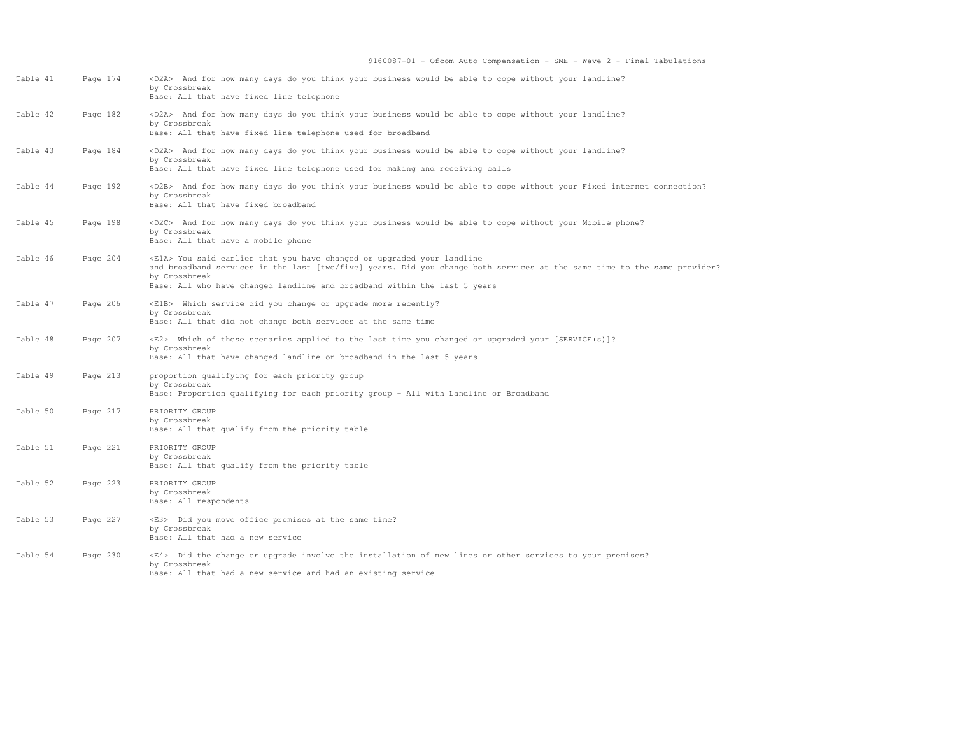| Table 41 | Page 174 | <d2a> And for how many days do you think your business would be able to cope without your landline?<br/>by Crossbreak<br/>Base: All that have fixed line telephone</d2a>                                                                                                                                  |
|----------|----------|-----------------------------------------------------------------------------------------------------------------------------------------------------------------------------------------------------------------------------------------------------------------------------------------------------------|
| Table 42 | Page 182 | <d2a> And for how many days do you think your business would be able to cope without your landline?<br/>by Crossbreak<br/>Base: All that have fixed line telephone used for broadband</d2a>                                                                                                               |
| Table 43 | Page 184 | <d2a> And for how many days do you think your business would be able to cope without your landline?<br/>by Crossbreak<br/>Base: All that have fixed line telephone used for making and receiving calls</d2a>                                                                                              |
| Table 44 | Page 192 | <d2b> And for how many days do you think your business would be able to cope without your Fixed internet connection?<br/>by Crossbreak<br/>Base: All that have fixed broadband</d2b>                                                                                                                      |
| Table 45 | Page 198 | <d2c> And for how many days do you think your business would be able to cope without your Mobile phone?<br/>by Crossbreak<br/>Base: All that have a mobile phone</d2c>                                                                                                                                    |
| Table 46 | Page 204 | <ela> You said earlier that you have changed or upgraded your landline<br/>and broadband services in the last [two/five] years. Did you change both services at the same time to the same provider?<br/>by Crossbreak<br/>Base: All who have changed landline and broadband within the last 5 years</ela> |
| Table 47 | Page 206 | <elb> Which service did you change or upgrade more recently?<br/>by Crossbreak<br/>Base: All that did not change both services at the same time</elb>                                                                                                                                                     |
| Table 48 | Page 207 | <e2> Which of these scenarios applied to the last time you changed or upgraded your [SERVICE(s)]?<br/>by Crossbreak<br/>Base: All that have changed landline or broadband in the last 5 years</e2>                                                                                                        |
| Table 49 | Page 213 | proportion qualifying for each priority group<br>by Crossbreak<br>Base: Proportion qualifying for each priority group - All with Landline or Broadband                                                                                                                                                    |
| Table 50 | Page 217 | PRIORITY GROUP<br>by Crossbreak<br>Base: All that qualify from the priority table                                                                                                                                                                                                                         |
| Table 51 | Page 221 | PRIORITY GROUP<br>by Crossbreak<br>Base: All that qualify from the priority table                                                                                                                                                                                                                         |
| Table 52 | Page 223 | PRIORITY GROUP<br>by Crossbreak<br>Base: All respondents                                                                                                                                                                                                                                                  |
| Table 53 | Page 227 | <e3> Did you move office premises at the same time?<br/>by Crossbreak<br/>Base: All that had a new service</e3>                                                                                                                                                                                           |
| Table 54 | Page 230 | <e4> Did the change or upgrade involve the installation of new lines or other services to your premises?<br/>by Crossbreak<br/>Base: All that had a new service and had an existing service</e4>                                                                                                          |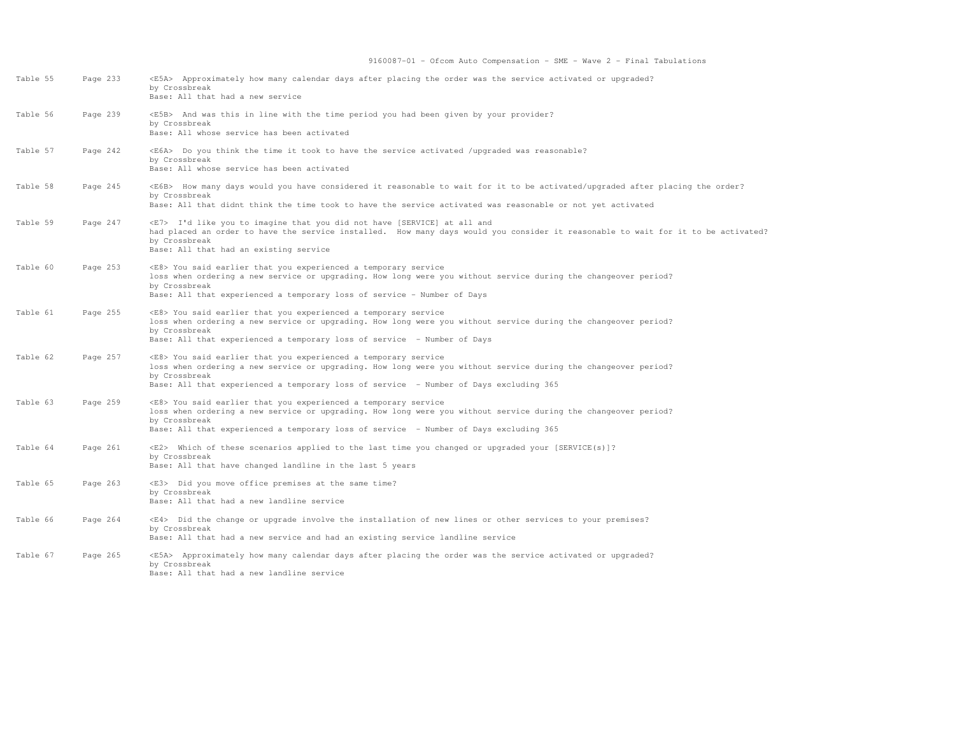| Table 55 | Page 233 | <e5a> Approximately how many calendar days after placing the order was the service activated or upgraded?<br/>by Crossbreak<br/>Base: All that had a new service</e5a>                                                                                                                             |
|----------|----------|----------------------------------------------------------------------------------------------------------------------------------------------------------------------------------------------------------------------------------------------------------------------------------------------------|
| Table 56 | Page 239 | <e5b> And was this in line with the time period you had been given by your provider?<br/>by Crossbreak<br/>Base: All whose service has been activated</e5b>                                                                                                                                        |
| Table 57 | Page 242 | <e6a> Do you think the time it took to have the service activated /upgraded was reasonable?<br/>by Crossbreak<br/>Base: All whose service has been activated</e6a>                                                                                                                                 |
| Table 58 | Page 245 | <e6b> How many days would you have considered it reasonable to wait for it to be activated/upgraded after placing the order?<br/>by Crossbreak<br/>Base: All that didnt think the time took to have the service activated was reasonable or not yet activated</e6b>                                |
| Table 59 | Page 247 | <e7> I'd like you to imagine that you did not have [SERVICE] at all and<br/>had placed an order to have the service installed. How many days would you consider it reasonable to wait for it to be activated?<br/>by Crossbreak<br/>Base: All that had an existing service</e7>                    |
| Table 60 | Page 253 | <e8> You said earlier that you experienced a temporary service<br/>loss when ordering a new service or upgrading. How long were you without service during the changeover period?<br/>by Crossbreak<br/>Base: All that experienced a temporary loss of service - Number of Days</e8>               |
| Table 61 | Page 255 | <e8> You said earlier that you experienced a temporary service<br/>loss when ordering a new service or upgrading. How long were you without service during the changeover period?<br/>by Crossbreak<br/>Base: All that experienced a temporary loss of service - Number of Days</e8>               |
| Table 62 | Page 257 | <e8> You said earlier that you experienced a temporary service<br/>loss when ordering a new service or upgrading. How long were you without service during the changeover period?<br/>by Crossbreak<br/>Base: All that experienced a temporary loss of service - Number of Days excluding 365</e8> |
| Table 63 | Page 259 | <e8> You said earlier that you experienced a temporary service<br/>loss when ordering a new service or upgrading. How long were you without service during the changeover period?<br/>by Crossbreak<br/>Base: All that experienced a temporary loss of service - Number of Days excluding 365</e8> |
| Table 64 | Page 261 | <e2> Which of these scenarios applied to the last time you changed or upgraded your [SERVICE(s)]?<br/>by Crossbreak<br/>Base: All that have changed landline in the last 5 years</e2>                                                                                                              |
| Table 65 | Page 263 | <e3> Did you move office premises at the same time?<br/>by Crossbreak<br/>Base: All that had a new landline service</e3>                                                                                                                                                                           |
| Table 66 | Page 264 | <e4> Did the change or upgrade involve the installation of new lines or other services to your premises?<br/>by Crossbreak<br/>Base: All that had a new service and had an existing service landline service</e4>                                                                                  |
| Table 67 | Page 265 | <e5a> Approximately how many calendar days after placing the order was the service activated or upgraded?<br/>by Crossbreak<br/>Base: All that had a new landline service</e5a>                                                                                                                    |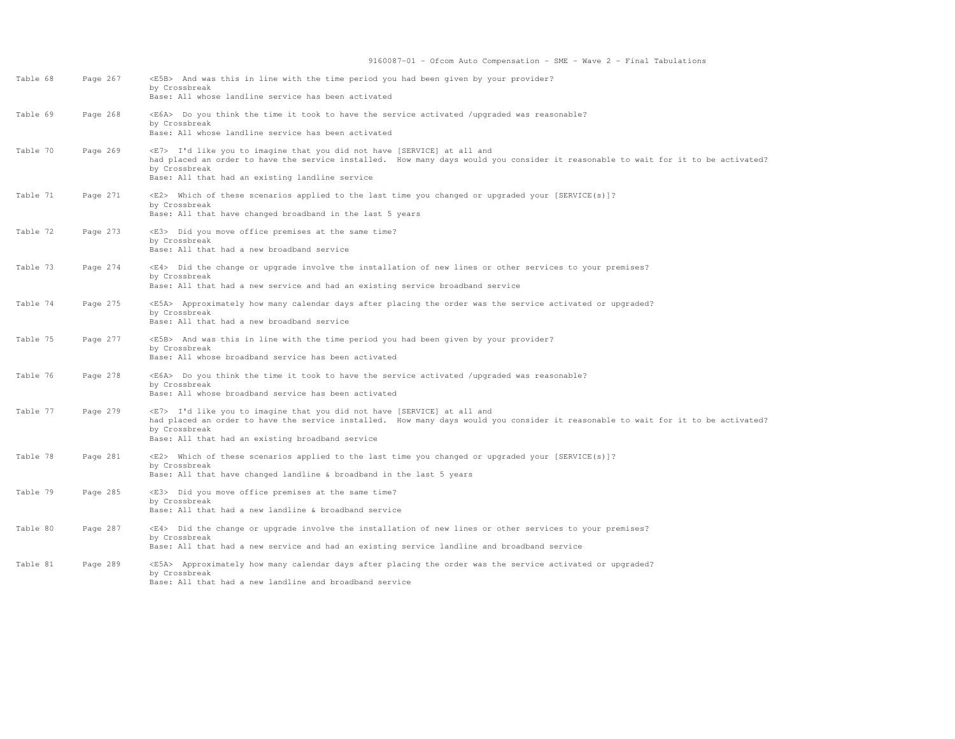| Table 68 | Page 267 | <e5b> And was this in line with the time period you had been given by your provider?<br/>by Crossbreak<br/>Base: All whose landline service has been activated</e5b>                                                                                                                      |
|----------|----------|-------------------------------------------------------------------------------------------------------------------------------------------------------------------------------------------------------------------------------------------------------------------------------------------|
| Table 69 | Page 268 | <e6a> Do you think the time it took to have the service activated /upgraded was reasonable?<br/>by Crossbreak<br/>Base: All whose landline service has been activated</e6a>                                                                                                               |
| Table 70 | Page 269 | <e7> I'd like you to imagine that you did not have [SERVICE] at all and<br/>had placed an order to have the service installed. How many days would you consider it reasonable to wait for it to be activated?<br/>by Crossbreak<br/>Base: All that had an existing landline service</e7>  |
| Table 71 | Page 271 | <e2> Which of these scenarios applied to the last time you changed or upgraded your [SERVICE(s)]?<br/>by Crossbreak<br/>Base: All that have changed broadband in the last 5 years</e2>                                                                                                    |
| Table 72 | Page 273 | <e3> Did you move office premises at the same time?<br/>by Crossbreak<br/>Base: All that had a new broadband service</e3>                                                                                                                                                                 |
| Table 73 | Page 274 | <e4> Did the change or upgrade involve the installation of new lines or other services to your premises?<br/>by Crossbreak<br/>Base: All that had a new service and had an existing service broadband service</e4>                                                                        |
| Table 74 | Page 275 | <e5a> Approximately how many calendar days after placing the order was the service activated or upgraded?<br/>by Crossbreak<br/>Base: All that had a new broadband service</e5a>                                                                                                          |
| Table 75 | Page 277 | <e5b> And was this in line with the time period you had been given by your provider?<br/>by Crossbreak<br/>Base: All whose broadband service has been activated</e5b>                                                                                                                     |
| Table 76 | Page 278 | <e6a> Do you think the time it took to have the service activated /upgraded was reasonable?<br/>by Crossbreak<br/>Base: All whose broadband service has been activated</e6a>                                                                                                              |
| Table 77 | Page 279 | <e7> I'd like you to imagine that you did not have [SERVICE] at all and<br/>had placed an order to have the service installed. How many days would you consider it reasonable to wait for it to be activated?<br/>by Crossbreak<br/>Base: All that had an existing broadband service</e7> |
| Table 78 | Page 281 | <e2> Which of these scenarios applied to the last time you changed or upgraded your [SERVICE(s)]?<br/>by Crossbreak<br/>Base: All that have changed landline &amp; broadband in the last 5 years</e2>                                                                                     |
| Table 79 | Page 285 | <e3> Did you move office premises at the same time?<br/>by Crossbreak<br/>Base: All that had a new landline &amp; broadband service</e3>                                                                                                                                                  |
| Table 80 | Page 287 | <e4> Did the change or upgrade involve the installation of new lines or other services to your premises?<br/>by Crossbreak<br/>Base: All that had a new service and had an existing service landline and broadband service</e4>                                                           |
| Table 81 | Page 289 | <e5a> Approximately how many calendar days after placing the order was the service activated or upgraded?<br/>by Crossbreak<br/>Base: All that had a new landline and broadband service</e5a>                                                                                             |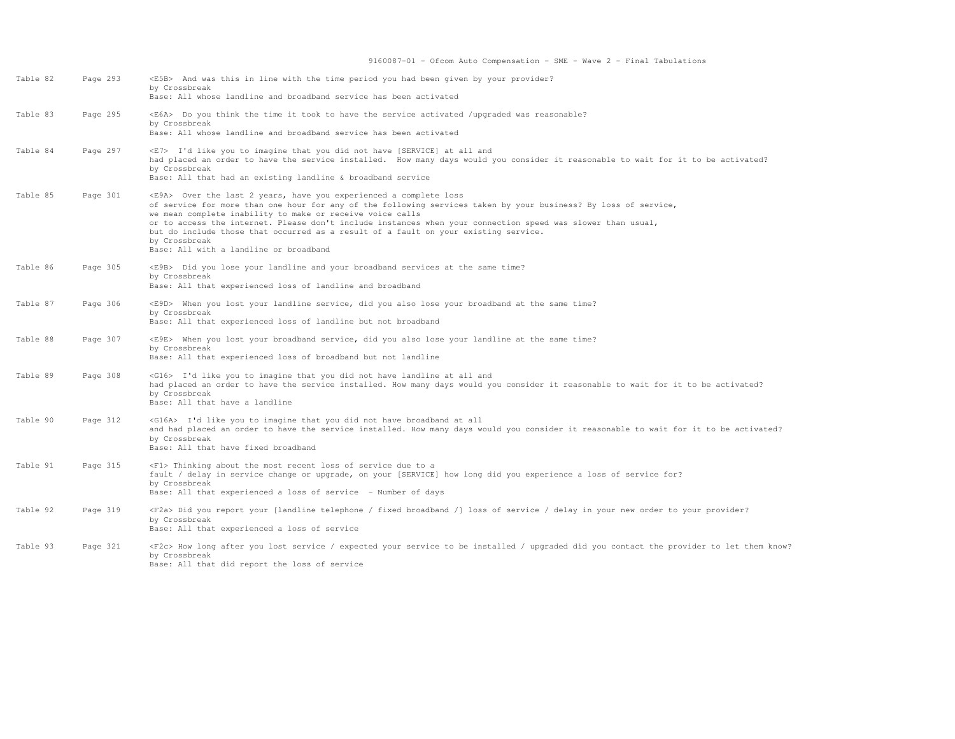| Table 82 | Page 293 | <e5b> And was this in line with the time period you had been given by your provider?<br/>by Crossbreak<br/>Base: All whose landline and broadband service has been activated</e5b>                                                                                                                                                                                                                                                                                                                                             |
|----------|----------|--------------------------------------------------------------------------------------------------------------------------------------------------------------------------------------------------------------------------------------------------------------------------------------------------------------------------------------------------------------------------------------------------------------------------------------------------------------------------------------------------------------------------------|
| Table 83 | Page 295 | <e6a> Do you think the time it took to have the service activated /upgraded was reasonable?<br/>by Crossbreak<br/>Base: All whose landline and broadband service has been activated</e6a>                                                                                                                                                                                                                                                                                                                                      |
| Table 84 | Page 297 | <e7> I'd like you to imagine that you did not have [SERVICE] at all and<br/>had placed an order to have the service installed. How many days would you consider it reasonable to wait for it to be activated?<br/>by Crossbreak<br/>Base: All that had an existing landline &amp; broadband service</e7>                                                                                                                                                                                                                       |
| Table 85 | Page 301 | <e9a> Over the last 2 years, have you experienced a complete loss<br/>of service for more than one hour for any of the following services taken by your business? By loss of service,<br/>we mean complete inability to make or receive voice calls<br/>or to access the internet. Please don't include instances when your connection speed was slower than usual,<br/>but do include those that occurred as a result of a fault on your existing service.<br/>by Crossbreak<br/>Base: All with a landline or broadband</e9a> |
| Table 86 | Page 305 | <e9b> Did you lose your landline and your broadband services at the same time?<br/>by Crossbreak<br/>Base: All that experienced loss of landline and broadband</e9b>                                                                                                                                                                                                                                                                                                                                                           |
| Table 87 | Page 306 | <e9d> When you lost your landline service, did you also lose your broadband at the same time?<br/>by Crossbreak<br/>Base: All that experienced loss of landline but not broadband</e9d>                                                                                                                                                                                                                                                                                                                                        |
| Table 88 | Page 307 | <e9e> When you lost your broadband service, did you also lose your landline at the same time?<br/>by Crossbreak<br/>Base: All that experienced loss of broadband but not landline</e9e>                                                                                                                                                                                                                                                                                                                                        |
| Table 89 | Page 308 | <g16> I'd like you to imagine that you did not have landline at all and<br/>had placed an order to have the service installed. How many days would you consider it reasonable to wait for it to be activated?<br/>by Crossbreak<br/>Base: All that have a landline</g16>                                                                                                                                                                                                                                                       |
| Table 90 | Page 312 | <g16a> I'd like you to imagine that you did not have broadband at all<br/>and had placed an order to have the service installed. How many days would you consider it reasonable to wait for it to be activated?<br/>by Crossbreak<br/>Base: All that have fixed broadband</g16a>                                                                                                                                                                                                                                               |
| Table 91 | Page 315 | <f1> Thinking about the most recent loss of service due to a<br/>fault / delay in service change or upgrade, on your [SERVICE] how long did you experience a loss of service for?<br/>by Crossbreak<br/>Base: All that experienced a loss of service - Number of days</f1>                                                                                                                                                                                                                                                     |
| Table 92 | Page 319 | <f2a> Did you report your [landline telephone / fixed broadband /] loss of service / delay in your new order to your provider?<br/>by Crossbreak<br/>Base: All that experienced a loss of service</f2a>                                                                                                                                                                                                                                                                                                                        |
| Table 93 | Page 321 | <f2c> How long after you lost service / expected your service to be installed / upgraded did you contact the provider to let them know?<br/>by Crossbreak<br/>Base: All that did report the loss of service</f2c>                                                                                                                                                                                                                                                                                                              |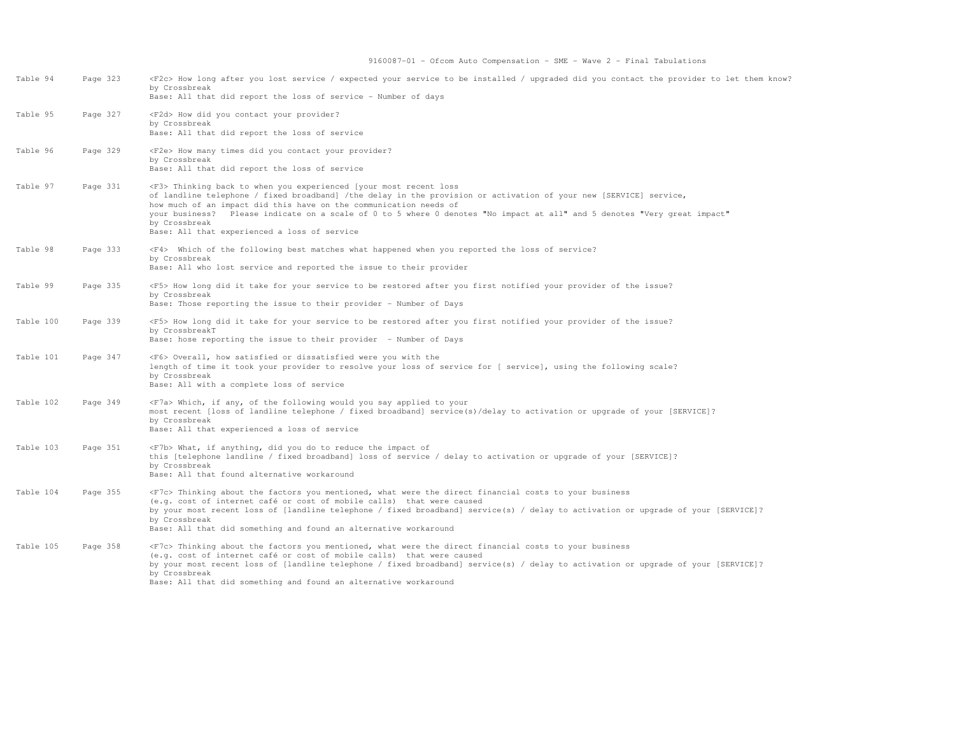| Table 94  | Page 323 | <f2c> How long after you lost service / expected your service to be installed / upgraded did you contact the provider to let them know?<br/>by Crossbreak<br/>Base: All that did report the loss of service - Number of days</f2c>                                                                                                                                                                                                                                 |
|-----------|----------|--------------------------------------------------------------------------------------------------------------------------------------------------------------------------------------------------------------------------------------------------------------------------------------------------------------------------------------------------------------------------------------------------------------------------------------------------------------------|
| Table 95  | Page 327 | <f2d> How did you contact your provider?<br/>by Crossbreak<br/>Base: All that did report the loss of service</f2d>                                                                                                                                                                                                                                                                                                                                                 |
| Table 96  | Page 329 | <f2e> How many times did you contact your provider?<br/>by Crossbreak<br/>Base: All that did report the loss of service</f2e>                                                                                                                                                                                                                                                                                                                                      |
| Table 97  | Page 331 | <f3> Thinking back to when you experienced [your most recent loss<br/>of landline telephone / fixed broadband] /the delay in the provision or activation of your new [SERVICE] service,<br/>how much of an impact did this have on the communication needs of<br/>your business? Please indicate on a scale of 0 to 5 where 0 denotes "No impact at all" and 5 denotes "Very great impact"<br/>by Crossbreak<br/>Base: All that experienced a loss of service</f3> |
| Table 98  | Page 333 | <f4> Which of the following best matches what happened when you reported the loss of service?<br/>by Crossbreak<br/>Base: All who lost service and reported the issue to their provider</f4>                                                                                                                                                                                                                                                                       |
| Table 99  | Page 335 | <f5> How long did it take for your service to be restored after you first notified your provider of the issue?<br/>by Crossbreak<br/>Base: Those reporting the issue to their provider - Number of Days</f5>                                                                                                                                                                                                                                                       |
| Table 100 | Page 339 | <f5> How long did it take for your service to be restored after you first notified your provider of the issue?<br/>by CrossbreakT<br/>Base: hose reporting the issue to their provider - Number of Days</f5>                                                                                                                                                                                                                                                       |
| Table 101 | Page 347 | <f6> Overall, how satisfied or dissatisfied were you with the<br/>length of time it took your provider to resolve your loss of service for [ service], using the following scale?<br/>by Crossbreak<br/>Base: All with a complete loss of service</f6>                                                                                                                                                                                                             |
| Table 102 | Page 349 | <f7a> Which, if any, of the following would you say applied to your<br/>most recent [loss of landline telephone / fixed broadband] service(s)/delay to activation or upgrade of your [SERVICE]?<br/>by Crossbreak<br/>Base: All that experienced a loss of service</f7a>                                                                                                                                                                                           |
| Table 103 | Page 351 | $\langle$ F7b> What, if anything, did you do to reduce the impact of<br>this [telephone landline / fixed broadband] loss of service / delay to activation or upgrade of your [SERVICE]?<br>by Crossbreak<br>Base: All that found alternative workaround                                                                                                                                                                                                            |
| Table 104 | Page 355 | <f7c> Thinking about the factors you mentioned, what were the direct financial costs to your business<br/>(e.g. cost of internet café or cost of mobile calls) that were caused<br/>by your most recent loss of [landline telephone / fixed broadband] service(s) / delay to activation or upgrade of your [SERVICE]?<br/>by Crossbreak<br/>Base: All that did something and found an alternative workaround</f7c>                                                 |
| Table 105 | Page 358 | <f7c> Thinking about the factors you mentioned, what were the direct financial costs to your business<br/>(e.g. cost of internet café or cost of mobile calls) that were caused<br/>by your most recent loss of [landline telephone / fixed broadband] service(s) / delay to activation or upgrade of your [SERVICE]?<br/>by Crossbreak<br/>Base: All that did something and found an alternative workaround</f7c>                                                 |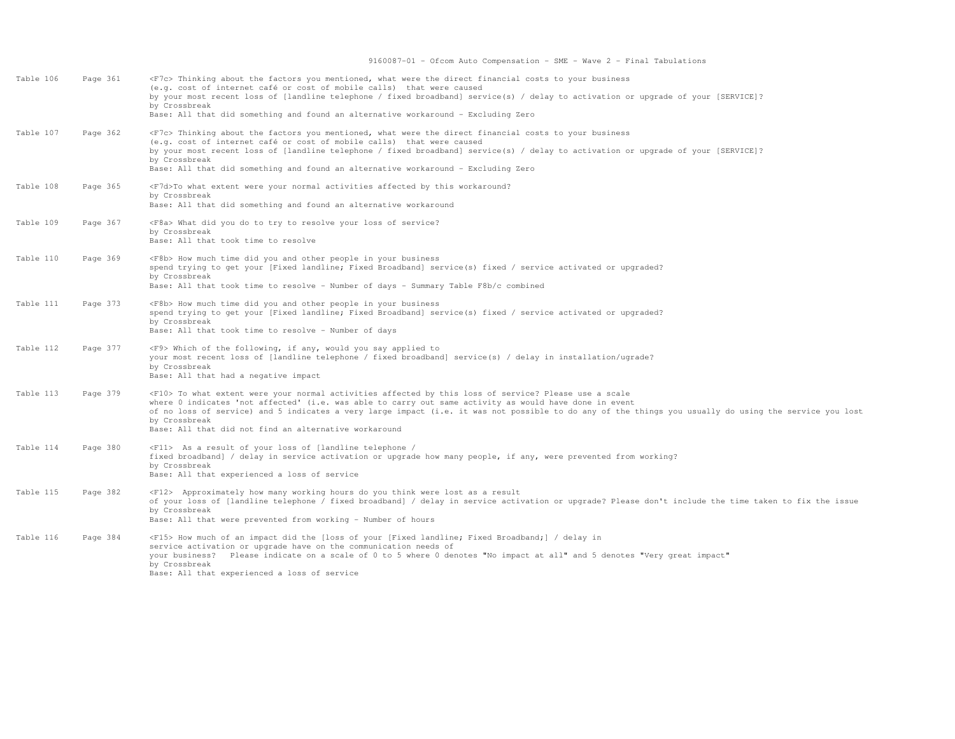| Table 106 | Page 361 | <f7c> Thinking about the factors you mentioned, what were the direct financial costs to your business<br/>(e.g. cost of internet café or cost of mobile calls) that were caused<br/>by your most recent loss of [landline telephone / fixed broadband] service(s) / delay to activation or upqrade of your [SERVICE]?<br/>by Crossbreak<br/>Base: All that did something and found an alternative workaround - Excluding Zero</f7c>                           |
|-----------|----------|---------------------------------------------------------------------------------------------------------------------------------------------------------------------------------------------------------------------------------------------------------------------------------------------------------------------------------------------------------------------------------------------------------------------------------------------------------------|
| Table 107 | Page 362 | <f7c> Thinking about the factors you mentioned, what were the direct financial costs to your business<br/>(e.g. cost of internet café or cost of mobile calls) that were caused<br/>by your most recent loss of [landline telephone / fixed broadband] service(s) / delay to activation or upqrade of your [SERVICE]?<br/>by Crossbreak<br/>Base: All that did something and found an alternative workaround - Excluding Zero</f7c>                           |
| Table 108 | Page 365 | <f7d>To what extent were your normal activities affected by this workaround?<br/>by Crossbreak<br/>Base: All that did something and found an alternative workaround</f7d>                                                                                                                                                                                                                                                                                     |
| Table 109 | Page 367 | <f8a> What did you do to try to resolve your loss of service?<br/>by Crossbreak<br/>Base: All that took time to resolve</f8a>                                                                                                                                                                                                                                                                                                                                 |
| Table 110 | Page 369 | <f8b> How much time did you and other people in your business<br/>spend trying to get your [Fixed landline; Fixed Broadband] service(s) fixed / service activated or upgraded?<br/>by Crossbreak<br/>Base: All that took time to resolve - Number of days - Summary Table F8b/c combined</f8b>                                                                                                                                                                |
| Table 111 | Page 373 | <f8b> How much time did you and other people in your business<br/>spend trying to get your [Fixed landline; Fixed Broadband] service(s) fixed / service activated or upgraded?<br/>by Crossbreak<br/>Base: All that took time to resolve - Number of days</f8b>                                                                                                                                                                                               |
| Table 112 | Page 377 | <f9> Which of the following, if any, would you say applied to<br/>your most recent loss of [landline telephone / fixed broadband] service(s) / delay in installation/ugrade?<br/>by Crossbreak<br/>Base: All that had a negative impact</f9>                                                                                                                                                                                                                  |
| Table 113 | Page 379 | <f10> To what extent were your normal activities affected by this loss of service? Please use a scale<br/>where 0 indicates 'not affected' (i.e. was able to carry out same activity as would have done in event<br/>of no loss of service) and 5 indicates a very large impact (i.e. it was not possible to do any of the things you usually do using the service you lost<br/>by Crossbreak<br/>Base: All that did not find an alternative workaround</f10> |
| Table 114 | Page 380 | <f11> As a result of your loss of [landline telephone /<br/>fixed broadband] / delay in service activation or upgrade how many people, if any, were prevented from working?<br/>by Crossbreak<br/>Base: All that experienced a loss of service</f11>                                                                                                                                                                                                          |
| Table 115 | Page 382 | <f12> Approximately how many working hours do you think were lost as a result<br/>of your loss of [landline telephone / fixed broadband] / delay in service activation or upgrade? Please don't include the time taken to fix the issue<br/>by Crossbreak<br/>Base: All that were prevented from working - Number of hours</f12>                                                                                                                              |
| Table 116 | Page 384 | <f15> How much of an impact did the [loss of your [Fixed landline; Fixed Broadband;] / delay in<br/>service activation or upgrade have on the communication needs of<br/>your business? Please indicate on a scale of 0 to 5 where 0 denotes "No impact at all" and 5 denotes "Very great impact"<br/>by Crossbreak<br/>Base: All that experienced a loss of service</f15>                                                                                    |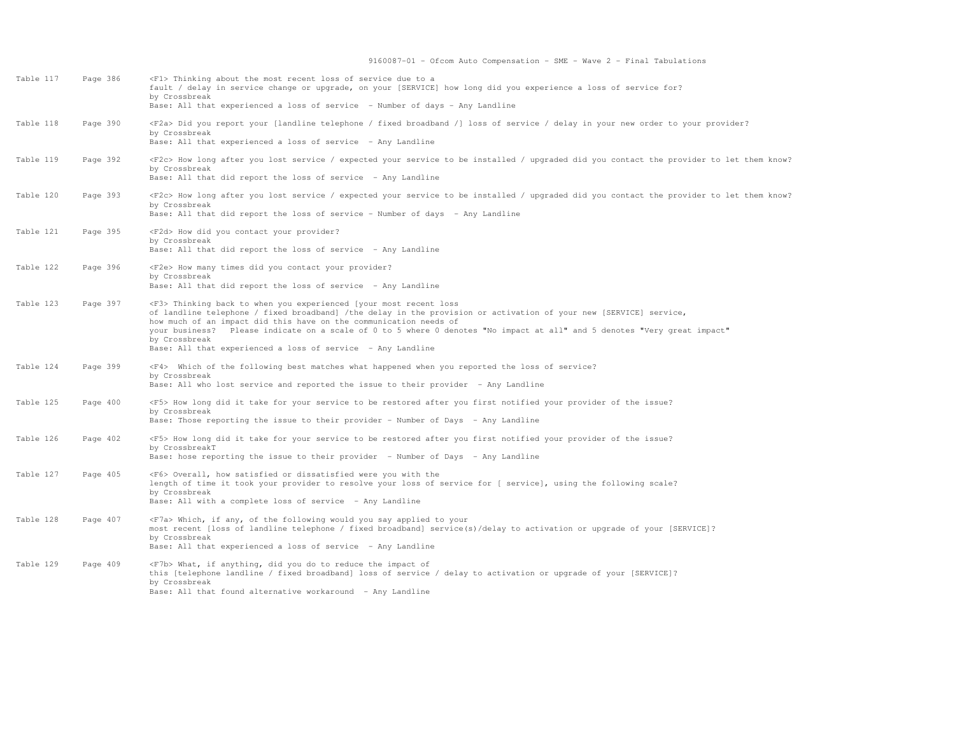| Table 117 | Page 386 | <f1> Thinking about the most recent loss of service due to a<br/>fault / delay in service change or upgrade, on your [SERVICE] how long did you experience a loss of service for?<br/>by Crossbreak<br/>Base: All that experienced a loss of service - Number of days - Any Landline</f1>                                                                                                                                                                                         |
|-----------|----------|-----------------------------------------------------------------------------------------------------------------------------------------------------------------------------------------------------------------------------------------------------------------------------------------------------------------------------------------------------------------------------------------------------------------------------------------------------------------------------------|
| Table 118 | Page 390 | <f2a> Did you report your [landline telephone / fixed broadband /] loss of service / delay in your new order to your provider?<br/>by Crossbreak<br/>Base: All that experienced a loss of service - Any Landline</f2a>                                                                                                                                                                                                                                                            |
| Table 119 | Page 392 | <f2c> How long after you lost service / expected your service to be installed / upgraded did you contact the provider to let them know?<br/>by Crossbreak<br/>Base: All that did report the loss of service - Any Landline</f2c>                                                                                                                                                                                                                                                  |
| Table 120 | Page 393 | <f2c> How long after you lost service / expected your service to be installed / upgraded did you contact the provider to let them know?<br/>by Crossbreak<br/>Base: All that did report the loss of service - Number of days - Any Landline</f2c>                                                                                                                                                                                                                                 |
| Table 121 | Page 395 | <f2d> How did you contact your provider?<br/>by Crossbreak<br/>Base: All that did report the loss of service - Any Landline</f2d>                                                                                                                                                                                                                                                                                                                                                 |
| Table 122 | Page 396 | <f2e> How many times did you contact your provider?<br/>by Crossbreak<br/>Base: All that did report the loss of service - Any Landline</f2e>                                                                                                                                                                                                                                                                                                                                      |
| Table 123 | Page 397 | <f3> Thinking back to when you experienced [your most recent loss<br/>of landline telephone / fixed broadband] /the delay in the provision or activation of your new [SERVICE] service,<br/>how much of an impact did this have on the communication needs of<br/>your business? Please indicate on a scale of 0 to 5 where 0 denotes "No impact at all" and 5 denotes "Very great impact"<br/>by Crossbreak<br/>Base: All that experienced a loss of service - Any Landline</f3> |
| Table 124 | Page 399 | <f4> Which of the following best matches what happened when you reported the loss of service?<br/>by Crossbreak<br/>Base: All who lost service and reported the issue to their provider - Any Landline</f4>                                                                                                                                                                                                                                                                       |
| Table 125 | Page 400 | <f5> How long did it take for your service to be restored after you first notified your provider of the issue?<br/>by Crossbreak<br/>Base: Those reporting the issue to their provider - Number of Days - Any Landline</f5>                                                                                                                                                                                                                                                       |
| Table 126 | Page 402 | <f5> How long did it take for your service to be restored after you first notified your provider of the issue?<br/>by CrossbreakT<br/>Base: hose reporting the issue to their provider - Number of Days - Any Landline</f5>                                                                                                                                                                                                                                                       |
| Table 127 | Page 405 | <f6> Overall, how satisfied or dissatisfied were you with the<br/>length of time it took your provider to resolve your loss of service for [ service], using the following scale?<br/>by Crossbreak<br/>Base: All with a complete loss of service - Any Landline</f6>                                                                                                                                                                                                             |
| Table 128 | Page 407 | <f7a> Which, if any, of the following would you say applied to your<br/>most recent [loss of landline telephone / fixed broadband] service(s)/delay to activation or upgrade of your [SERVICE]?<br/>by Crossbreak<br/>Base: All that experienced a loss of service - Any Landline</f7a>                                                                                                                                                                                           |
| Table 129 | Page 409 | <f7b> What, if anything, did you do to reduce the impact of<br/>this [telephone landline / fixed broadband] loss of service / delay to activation or upgrade of your [SERVICE]?<br/>by Crossbreak<br/>Base: All that found alternative workaround - Any Landline</f7b>                                                                                                                                                                                                            |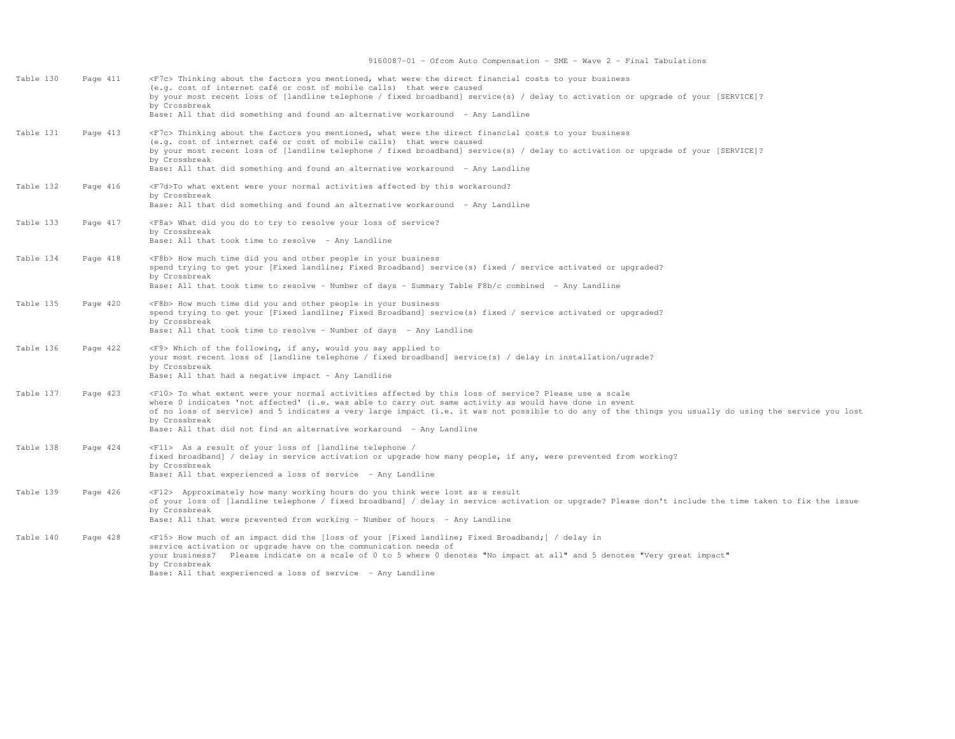| Table 130 | Page 411 | <f7c> Thinking about the factors you mentioned, what were the direct financial costs to your business<br/>(e.g. cost of internet café or cost of mobile calls) that were caused<br/>by your most recent loss of [landline telephone / fixed broadband] service(s) / delay to activation or upgrade of your [SERVICE]?<br/>by Crossbreak<br/>Base: All that did something and found an alternative workaround - Any Landline</f7c>                                            |
|-----------|----------|------------------------------------------------------------------------------------------------------------------------------------------------------------------------------------------------------------------------------------------------------------------------------------------------------------------------------------------------------------------------------------------------------------------------------------------------------------------------------|
| Table 131 | Page 413 | <f7c> Thinking about the factors you mentioned, what were the direct financial costs to your business<br/>(e.g. cost of internet café or cost of mobile calls) that were caused<br/>by your most recent loss of [landline telephone / fixed broadband] service(s) / delay to activation or upgrade of your [SERVICE]?<br/>by Crossbreak<br/>Base: All that did something and found an alternative workaround - Any Landline</f7c>                                            |
| Table 132 | Page 416 | <f7d>To what extent were your normal activities affected by this workaround?<br/>by Crossbreak<br/>Base: All that did something and found an alternative workaround - Any Landline</f7d>                                                                                                                                                                                                                                                                                     |
| Table 133 | Page 417 | <f8a> What did you do to try to resolve your loss of service?<br/>by Crossbreak<br/>Base: All that took time to resolve - Any Landline</f8a>                                                                                                                                                                                                                                                                                                                                 |
| Table 134 | Page 418 | <f8b> How much time did you and other people in your business<br/>spend trying to get your [Fixed landline; Fixed Broadband] service(s) fixed / service activated or upgraded?<br/>by Crossbreak<br/>Base: All that took time to resolve - Number of days - Summary Table F8b/c combined - Any Landline</f8b>                                                                                                                                                                |
| Table 135 | Page 420 | <f8b> How much time did you and other people in your business<br/>spend trying to get your [Fixed landline; Fixed Broadband] service(s) fixed / service activated or upgraded?<br/>by Crossbreak<br/>Base: All that took time to resolve - Number of days - Any Landline</f8b>                                                                                                                                                                                               |
| Table 136 | Page 422 | <f9> Which of the following, if any, would you say applied to<br/>your most recent loss of [landline telephone / fixed broadband] service(s) / delay in installation/ugrade?<br/>by Crossbreak<br/>Base: All that had a negative impact - Any Landline</f9>                                                                                                                                                                                                                  |
| Table 137 | Page 423 | <f10> To what extent were your normal activities affected by this loss of service? Please use a scale<br/>where 0 indicates 'not affected' (i.e. was able to carry out same activity as would have done in event<br/>of no loss of service) and 5 indicates a very large impact (i.e. it was not possible to do any of the things you usually do using the service you lost<br/>by Crossbreak<br/>Base: All that did not find an alternative workaround - Any Landline</f10> |
| Table 138 | Page 424 | <f11> As a result of your loss of [landline telephone /<br/>fixed broadband] / delay in service activation or upgrade how many people, if any, were prevented from working?<br/>by Crossbreak<br/>Base: All that experienced a loss of service - Any Landline</f11>                                                                                                                                                                                                          |
| Table 139 | Page 426 | <f12> Approximately how many working hours do you think were lost as a result<br/>of your loss of [landline telephone / fixed broadband] / delay in service activation or upgrade? Please don't include the time taken to fix the issue<br/>by Crossbreak<br/>Base: All that were prevented from working - Number of hours - Any Landline</f12>                                                                                                                              |
| Table 140 | Page 428 | <f15> How much of an impact did the [loss of your [Fixed landline; Fixed Broadband;] / delay in<br/>service activation or upgrade have on the communication needs of<br/>your business? Please indicate on a scale of 0 to 5 where 0 denotes "No impact at all" and 5 denotes "Very great impact"<br/>by Crossbreak<br/>Base: All that experienced a loss of service - Any Landline</f15>                                                                                    |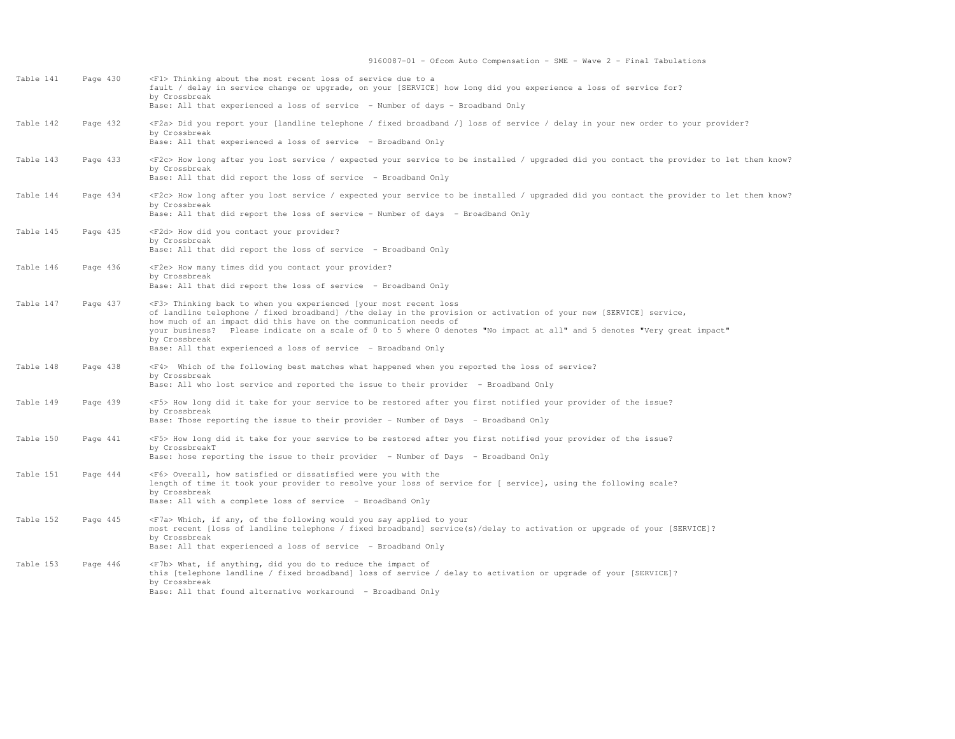| Table 141 | Page 430 | <f1> Thinking about the most recent loss of service due to a<br/>fault / delay in service change or upgrade, on your [SERVICE] how long did you experience a loss of service for?<br/>by Crossbreak<br/>Base: All that experienced a loss of service - Number of days - Broadband Only</f1>                                                                                                                                                                                         |
|-----------|----------|-------------------------------------------------------------------------------------------------------------------------------------------------------------------------------------------------------------------------------------------------------------------------------------------------------------------------------------------------------------------------------------------------------------------------------------------------------------------------------------|
| Table 142 | Page 432 | <f2a> Did you report your [landline telephone / fixed broadband /] loss of service / delay in your new order to your provider?<br/>by Crossbreak<br/>Base: All that experienced a loss of service - Broadband Only</f2a>                                                                                                                                                                                                                                                            |
| Table 143 | Page 433 | <f2c> How long after you lost service / expected your service to be installed / upgraded did you contact the provider to let them know?<br/>by Crossbreak<br/>Base: All that did report the loss of service - Broadband Only</f2c>                                                                                                                                                                                                                                                  |
| Table 144 | Page 434 | <f2c> How long after you lost service / expected your service to be installed / upgraded did you contact the provider to let them know?<br/>by Crossbreak<br/>Base: All that did report the loss of service - Number of days - Broadband Only</f2c>                                                                                                                                                                                                                                 |
| Table 145 | Page 435 | <f2d> How did you contact your provider?<br/>by Crossbreak<br/>Base: All that did report the loss of service - Broadband Only</f2d>                                                                                                                                                                                                                                                                                                                                                 |
| Table 146 | Page 436 | <f2e> How many times did you contact your provider?<br/>by Crossbreak<br/>Base: All that did report the loss of service - Broadband Only</f2e>                                                                                                                                                                                                                                                                                                                                      |
| Table 147 | Page 437 | <f3> Thinking back to when you experienced [your most recent loss<br/>of landline telephone / fixed broadband] /the delay in the provision or activation of your new [SERVICE] service,<br/>how much of an impact did this have on the communication needs of<br/>your business? Please indicate on a scale of 0 to 5 where 0 denotes "No impact at all" and 5 denotes "Very great impact"<br/>by Crossbreak<br/>Base: All that experienced a loss of service - Broadband Only</f3> |
| Table 148 | Page 438 | <f4> Which of the following best matches what happened when you reported the loss of service?<br/>by Crossbreak<br/>Base: All who lost service and reported the issue to their provider - Broadband Only</f4>                                                                                                                                                                                                                                                                       |
| Table 149 | Page 439 | <f5> How long did it take for your service to be restored after you first notified your provider of the issue?<br/>by Crossbreak<br/>Base: Those reporting the issue to their provider - Number of Days - Broadband Only</f5>                                                                                                                                                                                                                                                       |
| Table 150 | Page 441 | <f5> How long did it take for your service to be restored after you first notified your provider of the issue?<br/>by CrossbreakT<br/>Base: hose reporting the issue to their provider - Number of Days - Broadband Only</f5>                                                                                                                                                                                                                                                       |
| Table 151 | Page 444 | <f6> Overall, how satisfied or dissatisfied were you with the<br/>length of time it took your provider to resolve your loss of service for [ service], using the following scale?<br/>by Crossbreak<br/>Base: All with a complete loss of service - Broadband Only</f6>                                                                                                                                                                                                             |
| Table 152 | Page 445 | <f7a> Which, if any, of the following would you say applied to your<br/>most recent [loss of landline telephone / fixed broadband] service(s)/delay to activation or upgrade of your [SERVICE]?<br/>by Crossbreak<br/>Base: All that experienced a loss of service - Broadband Only</f7a>                                                                                                                                                                                           |
| Table 153 | Page 446 | <f7b> What, if anything, did you do to reduce the impact of<br/>this [telephone landline / fixed broadband] loss of service / delay to activation or upgrade of your [SERVICE]?<br/>by Crossbreak<br/>Base: All that found alternative workaround - Broadband Only</f7b>                                                                                                                                                                                                            |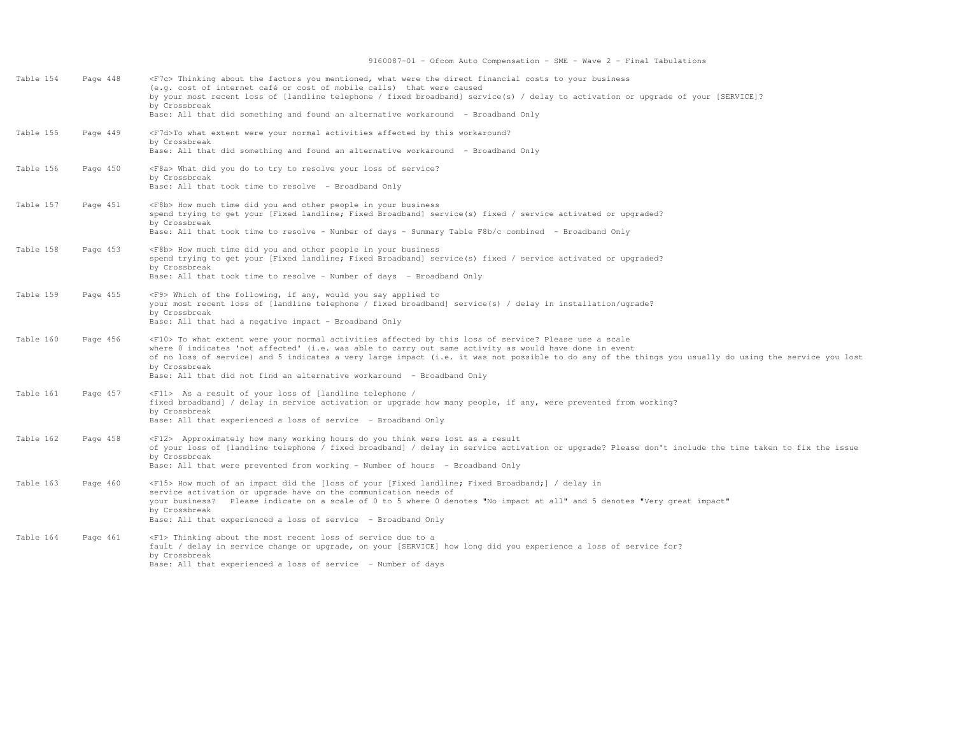| Table 154 | Page 448 | <f7c> Thinking about the factors you mentioned, what were the direct financial costs to your business<br/>(e.g. cost of internet café or cost of mobile calls) that were caused<br/>by your most recent loss of [landline telephone / fixed broadband] service(s) / delay to activation or upqrade of your [SERVICE]?<br/>by Crossbreak<br/>Base: All that did something and found an alternative workaround - Broadband Only</f7c>                                            |
|-----------|----------|--------------------------------------------------------------------------------------------------------------------------------------------------------------------------------------------------------------------------------------------------------------------------------------------------------------------------------------------------------------------------------------------------------------------------------------------------------------------------------|
| Table 155 | Page 449 | <f7d>To what extent were your normal activities affected by this workaround?<br/>by Crossbreak<br/>Base: All that did something and found an alternative workaround - Broadband Only</f7d>                                                                                                                                                                                                                                                                                     |
| Table 156 | Page 450 | <f8a> What did you do to try to resolve your loss of service?<br/>by Crossbreak<br/>Base: All that took time to resolve - Broadband Only</f8a>                                                                                                                                                                                                                                                                                                                                 |
| Table 157 | Page 451 | <f8b> How much time did you and other people in your business<br/>spend trying to get your [Fixed landline; Fixed Broadband] service(s) fixed / service activated or upgraded?<br/>by Crossbreak<br/>Base: All that took time to resolve - Number of days - Summary Table F8b/c combined - Broadband Only</f8b>                                                                                                                                                                |
| Table 158 | Page 453 | <f8b> How much time did you and other people in your business<br/>spend trying to get your [Fixed landline; Fixed Broadband] service(s) fixed / service activated or upgraded?<br/>by Crossbreak<br/>Base: All that took time to resolve - Number of days - Broadband Only</f8b>                                                                                                                                                                                               |
| Table 159 | Page 455 | <f9> Which of the following, if any, would you say applied to<br/>your most recent loss of [landline telephone / fixed broadband] service(s) / delay in installation/ugrade?<br/>by Crossbreak<br/>Base: All that had a negative impact - Broadband Only</f9>                                                                                                                                                                                                                  |
| Table 160 | Page 456 | <f10> To what extent were your normal activities affected by this loss of service? Please use a scale<br/>where 0 indicates 'not affected' (i.e. was able to carry out same activity as would have done in event<br/>of no loss of service) and 5 indicates a very large impact (i.e. it was not possible to do any of the things you usually do using the service you lost<br/>by Crossbreak<br/>Base: All that did not find an alternative workaround - Broadband Only</f10> |
| Table 161 | Page 457 | <f11> As a result of your loss of [landline telephone /<br/>fixed broadband] / delay in service activation or upgrade how many people, if any, were prevented from working?<br/>by Crossbreak<br/>Base: All that experienced a loss of service - Broadband Only</f11>                                                                                                                                                                                                          |
| Table 162 | Page 458 | <f12> Approximately how many working hours do you think were lost as a result<br/>of your loss of [landline telephone / fixed broadband] / delay in service activation or upgrade? Please don't include the time taken to fix the issue<br/>by Crossbreak<br/>Base: All that were prevented from working - Number of hours - Broadband Only</f12>                                                                                                                              |
| Table 163 | Page 460 | <f15> How much of an impact did the [loss of your [Fixed landline; Fixed Broadband;] / delay in<br/>service activation or upgrade have on the communication needs of<br/>your business? Please indicate on a scale of 0 to 5 where 0 denotes "No impact at all" and 5 denotes "Very great impact"<br/>by Crossbreak<br/>Base: All that experienced a loss of service - Broadband Only</f15>                                                                                    |
| Table 164 | Page 461 | <f1> Thinking about the most recent loss of service due to a<br/>fault / delay in service change or upgrade, on your [SERVICE] how long did you experience a loss of service for?<br/>by Crossbreak<br/>Base: All that experienced a loss of service - Number of days</f1>                                                                                                                                                                                                     |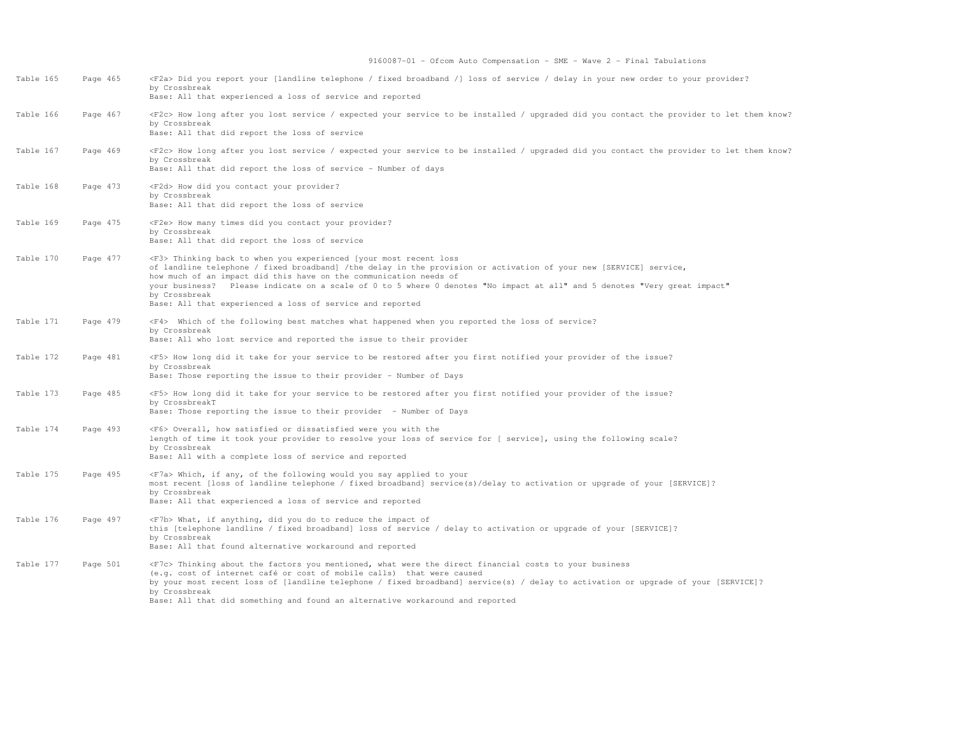| Table 165 | Page 465 | <f2a> Did you report your [landline telephone / fixed broadband /] loss of service / delay in your new order to your provider?<br/>by Crossbreak<br/>Base: All that experienced a loss of service and reported</f2a>                                                                                                                                                                                                                                                            |
|-----------|----------|---------------------------------------------------------------------------------------------------------------------------------------------------------------------------------------------------------------------------------------------------------------------------------------------------------------------------------------------------------------------------------------------------------------------------------------------------------------------------------|
| Table 166 | Page 467 | <f2c> How long after you lost service / expected your service to be installed / upgraded did you contact the provider to let them know?<br/>by Crossbreak<br/>Base: All that did report the loss of service</f2c>                                                                                                                                                                                                                                                               |
| Table 167 | Page 469 | <f2c> How long after you lost service / expected your service to be installed / upgraded did you contact the provider to let them know?<br/>by Crossbreak<br/>Base: All that did report the loss of service - Number of days</f2c>                                                                                                                                                                                                                                              |
| Table 168 | Page 473 | <f2d> How did you contact your provider?<br/>by Crossbreak<br/>Base: All that did report the loss of service</f2d>                                                                                                                                                                                                                                                                                                                                                              |
| Table 169 | Page 475 | <f2e> How many times did you contact your provider?<br/>by Crossbreak<br/>Base: All that did report the loss of service</f2e>                                                                                                                                                                                                                                                                                                                                                   |
| Table 170 | Page 477 | <f3> Thinking back to when you experienced [your most recent loss<br/>of landline telephone / fixed broadband] /the delay in the provision or activation of your new [SERVICE] service,<br/>how much of an impact did this have on the communication needs of<br/>your business? Please indicate on a scale of 0 to 5 where 0 denotes "No impact at all" and 5 denotes "Very great impact"<br/>by Crossbreak<br/>Base: All that experienced a loss of service and reported</f3> |
| Table 171 | Page 479 | <f4> Which of the following best matches what happened when you reported the loss of service?<br/>by Crossbreak<br/>Base: All who lost service and reported the issue to their provider</f4>                                                                                                                                                                                                                                                                                    |
| Table 172 | Page 481 | <f5> How long did it take for your service to be restored after you first notified your provider of the issue?<br/>by Crossbreak<br/>Base: Those reporting the issue to their provider - Number of Days</f5>                                                                                                                                                                                                                                                                    |
| Table 173 | Page 485 | <f5> How long did it take for your service to be restored after you first notified your provider of the issue?<br/>by CrossbreakT<br/>Base: Those reporting the issue to their provider - Number of Days</f5>                                                                                                                                                                                                                                                                   |
| Table 174 | Page 493 | <f6> Overall, how satisfied or dissatisfied were you with the<br/>length of time it took your provider to resolve your loss of service for [ service], using the following scale?<br/>by Crossbreak<br/>Base: All with a complete loss of service and reported</f6>                                                                                                                                                                                                             |
| Table 175 | Page 495 | <f7a> Which, if any, of the following would you say applied to your<br/>most recent [loss of landline telephone / fixed broadband] service(s)/delay to activation or upgrade of your [SERVICE]?<br/>by Crossbreak<br/>Base: All that experienced a loss of service and reported</f7a>                                                                                                                                                                                           |
| Table 176 | Page 497 | <f7b> What, if anything, did you do to reduce the impact of<br/>this [telephone landline / fixed broadband] loss of service / delay to activation or upgrade of your [SERVICE]?<br/>by Crossbreak<br/>Base: All that found alternative workaround and reported</f7b>                                                                                                                                                                                                            |
| Table 177 | Page 501 | <f7c> Thinking about the factors you mentioned, what were the direct financial costs to your business<br/>(e.g. cost of internet café or cost of mobile calls) that were caused<br/>by your most recent loss of [landline telephone / fixed broadband] service(s) / delay to activation or upgrade of your [SERVICE]?<br/>by Crossbreak<br/>Base: All that did something and found an alternative workaround and reported</f7c>                                                 |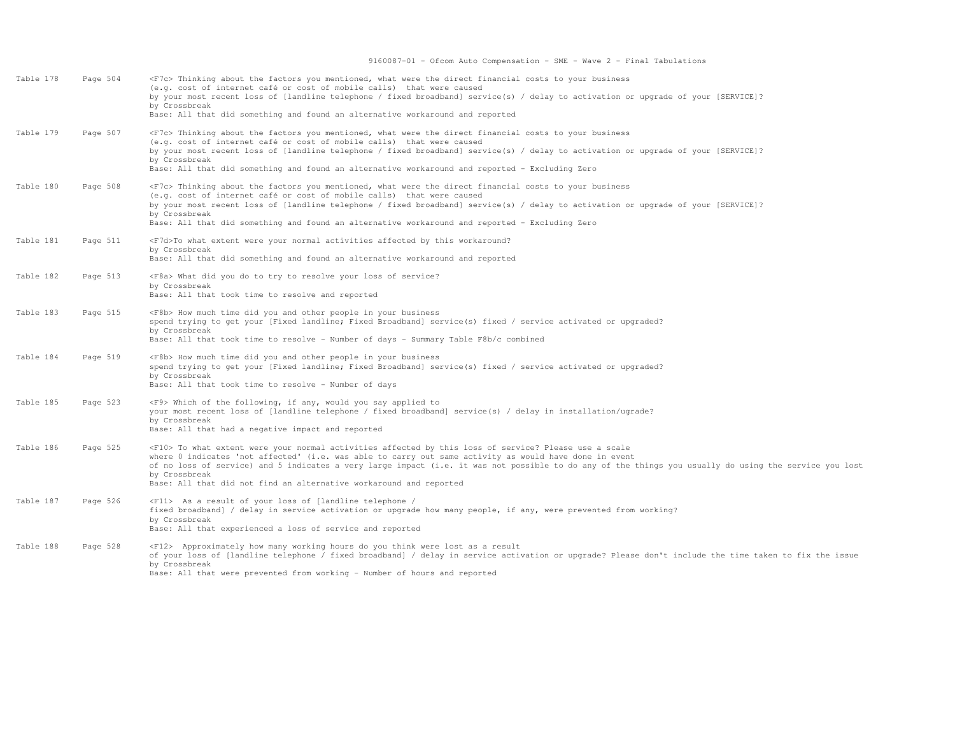| Table 178 | Page 504 | <f7c> Thinking about the factors you mentioned, what were the direct financial costs to your business<br/>(e.g. cost of internet café or cost of mobile calls) that were caused<br/>by your most recent loss of [landline telephone / fixed broadband] service(s) / delay to activation or upgrade of your [SERVICE]?<br/>by Crossbreak<br/>Base: All that did something and found an alternative workaround and reported</f7c>                                            |
|-----------|----------|----------------------------------------------------------------------------------------------------------------------------------------------------------------------------------------------------------------------------------------------------------------------------------------------------------------------------------------------------------------------------------------------------------------------------------------------------------------------------|
| Table 179 | Page 507 | <f7c> Thinking about the factors you mentioned, what were the direct financial costs to your business<br/>(e.g. cost of internet café or cost of mobile calls) that were caused<br/>by your most recent loss of [landline telephone / fixed broadband] service(s) / delay to activation or upqrade of your [SERVICE]?<br/>by Crossbreak<br/>Base: All that did something and found an alternative workaround and reported - Excluding Zero</f7c>                           |
| Table 180 | Page 508 | <f7c> Thinking about the factors you mentioned, what were the direct financial costs to your business<br/>(e.g. cost of internet café or cost of mobile calls) that were caused<br/>by your most recent loss of [landline telephone / fixed broadband] service(s) / delay to activation or upqrade of your [SERVICE]?<br/>by Crossbreak<br/>Base: All that did something and found an alternative workaround and reported - Excluding Zero</f7c>                           |
| Table 181 | Page 511 | <f7d>To what extent were your normal activities affected by this workaround?<br/>by Crossbreak<br/>Base: All that did something and found an alternative workaround and reported</f7d>                                                                                                                                                                                                                                                                                     |
| Table 182 | Page 513 | <f8a> What did you do to try to resolve your loss of service?<br/>by Crossbreak<br/>Base: All that took time to resolve and reported</f8a>                                                                                                                                                                                                                                                                                                                                 |
| Table 183 | Page 515 | <f8b> How much time did you and other people in your business<br/>spend trying to get your [Fixed landline; Fixed Broadband] service(s) fixed / service activated or upgraded?<br/>by Crossbreak<br/>Base: All that took time to resolve - Number of days - Summary Table F8b/c combined</f8b>                                                                                                                                                                             |
| Table 184 | Page 519 | <f8b> How much time did you and other people in your business<br/>spend trying to get your [Fixed landline; Fixed Broadband] service(s) fixed / service activated or upgraded?<br/>by Crossbreak<br/>Base: All that took time to resolve - Number of days</f8b>                                                                                                                                                                                                            |
| Table 185 | Page 523 | <f9> Which of the following, if any, would you say applied to<br/>your most recent loss of [landline telephone / fixed broadband] service(s) / delay in installation/ugrade?<br/>by Crossbreak<br/>Base: All that had a negative impact and reported</f9>                                                                                                                                                                                                                  |
| Table 186 | Page 525 | <f10> To what extent were your normal activities affected by this loss of service? Please use a scale<br/>where 0 indicates 'not affected' (i.e. was able to carry out same activity as would have done in event<br/>of no loss of service) and 5 indicates a very large impact (i.e. it was not possible to do any of the things you usually do using the service you lost<br/>by Crossbreak<br/>Base: All that did not find an alternative workaround and reported</f10> |
| Table 187 | Page 526 | <f11> As a result of your loss of [landline telephone /<br/>fixed broadband] / delay in service activation or upgrade how many people, if any, were prevented from working?<br/>by Crossbreak<br/>Base: All that experienced a loss of service and reported</f11>                                                                                                                                                                                                          |
| Table 188 | Page 528 | <f12> Approximately how many working hours do you think were lost as a result<br/>of your loss of [landline telephone / fixed broadband] / delay in service activation or upgrade? Please don't include the time taken to fix the issue<br/>by Crossbreak<br/>Base: All that were prevented from working - Number of hours and reported</f12>                                                                                                                              |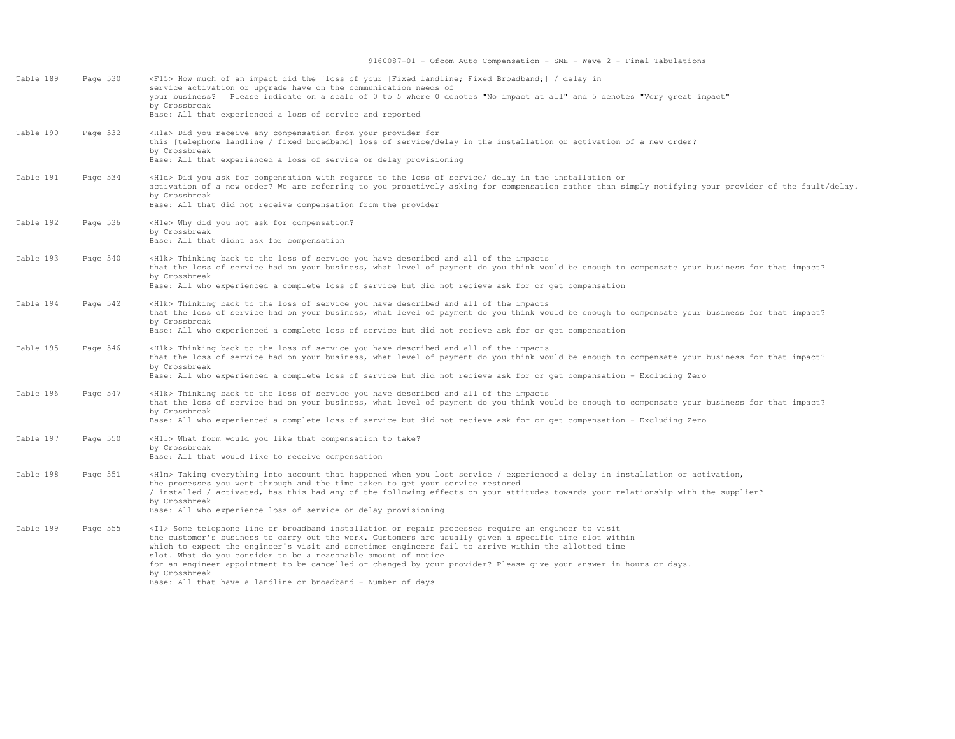| Table 189 | Page 530 | <f15> How much of an impact did the [loss of your [Fixed landline; Fixed Broadband;] / delay in<br/>service activation or upgrade have on the communication needs of<br/>your business? Please indicate on a scale of 0 to 5 where 0 denotes "No impact at all" and 5 denotes "Very great impact"<br/>by Crossbreak<br/>Base: All that experienced a loss of service and reported</f15>                                                                                                                                                                                                                   |
|-----------|----------|-----------------------------------------------------------------------------------------------------------------------------------------------------------------------------------------------------------------------------------------------------------------------------------------------------------------------------------------------------------------------------------------------------------------------------------------------------------------------------------------------------------------------------------------------------------------------------------------------------------|
| Table 190 | Page 532 | <hla> Did you receive any compensation from your provider for<br/>this [telephone landline / fixed broadband] loss of service/delay in the installation or activation of a new order?<br/>by Crossbreak<br/>Base: All that experienced a loss of service or delay provisioning</hla>                                                                                                                                                                                                                                                                                                                      |
| Table 191 | Page 534 | <hld> Did you ask for compensation with regards to the loss of service/ delay in the installation or<br/>activation of a new order? We are referring to you proactively asking for compensation rather than simply notifying your provider of the fault/delay.<br/>by Crossbreak<br/>Base: All that did not receive compensation from the provider</hld>                                                                                                                                                                                                                                                  |
| Table 192 | Page 536 | <hle> Why did you not ask for compensation?<br/>by Crossbreak<br/>Base: All that didnt ask for compensation</hle>                                                                                                                                                                                                                                                                                                                                                                                                                                                                                         |
| Table 193 | Page 540 | <h1k> Thinking back to the loss of service you have described and all of the impacts<br/>that the loss of service had on your business, what level of payment do you think would be enough to compensate your business for that impact?<br/>by Crossbreak<br/>Base: All who experienced a complete loss of service but did not recieve ask for or get compensation</h1k>                                                                                                                                                                                                                                  |
| Table 194 | Page 542 | <h1k> Thinking back to the loss of service you have described and all of the impacts<br/>that the loss of service had on your business, what level of payment do you think would be enough to compensate your business for that impact?<br/>by Crossbreak<br/>Base: All who experienced a complete loss of service but did not recieve ask for or get compensation</h1k>                                                                                                                                                                                                                                  |
| Table 195 | Page 546 | <hlk> Thinking back to the loss of service you have described and all of the impacts<br/>that the loss of service had on your business, what level of payment do you think would be enough to compensate your business for that impact?<br/>by Crossbreak<br/>Base: All who experienced a complete loss of service but did not recieve ask for or get compensation - Excluding Zero</hlk>                                                                                                                                                                                                                 |
| Table 196 | Page 547 | <h1k> Thinking back to the loss of service you have described and all of the impacts<br/>that the loss of service had on your business, what level of payment do you think would be enough to compensate your business for that impact?<br/>by Crossbreak<br/>Base: All who experienced a complete loss of service but did not recieve ask for or get compensation - Excluding Zero</h1k>                                                                                                                                                                                                                 |
| Table 197 | Page 550 | <h11> What form would you like that compensation to take?<br/>by Crossbreak<br/>Base: All that would like to receive compensation</h11>                                                                                                                                                                                                                                                                                                                                                                                                                                                                   |
| Table 198 | Page 551 | <hlm> Taking everything into account that happened when you lost service / experienced a delay in installation or activation,<br/>the processes you went through and the time taken to get your service restored<br/>/ installed / activated, has this had any of the following effects on your attitudes towards your relationship with the supplier?<br/>by Crossbreak<br/>Base: All who experience loss of service or delay provisioning</hlm>                                                                                                                                                         |
| Table 199 | Page 555 | <il> Some telephone line or broadband installation or repair processes require an engineer to visit<br/>the customer's business to carry out the work. Customers are usually given a specific time slot within<br/>which to expect the engineer's visit and sometimes engineers fail to arrive within the allotted time<br/>slot. What do you consider to be a reasonable amount of notice<br/>for an engineer appointment to be cancelled or changed by your provider? Please give your answer in hours or days.<br/>by Crossbreak<br/>Base: All that have a landline or broadband - Number of days</il> |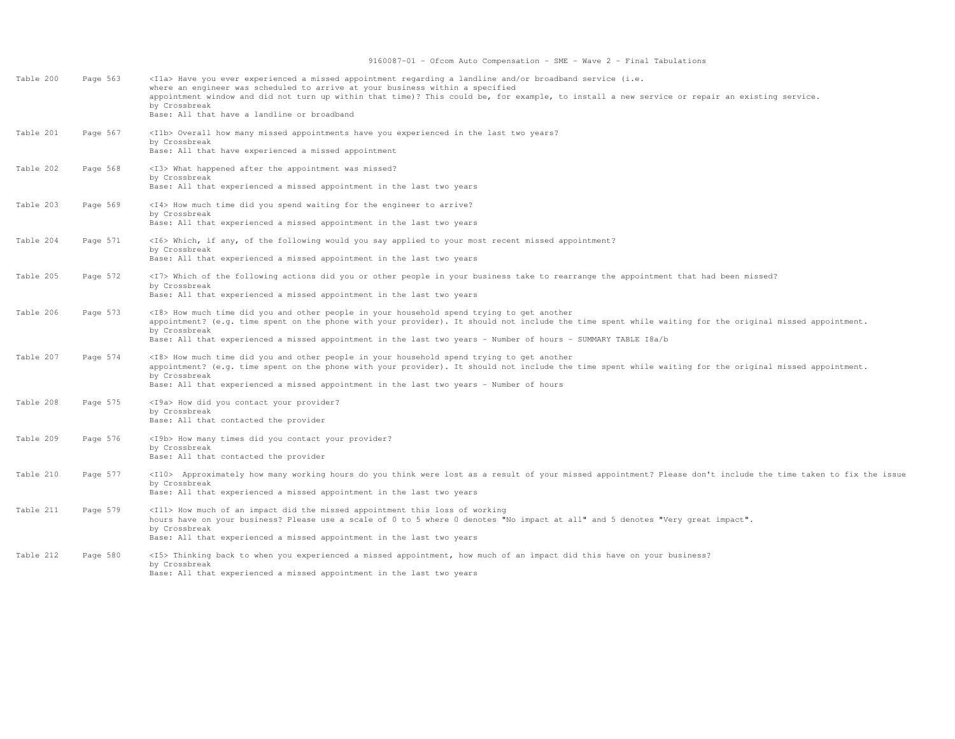| Table 200 | Page 563 | <ila> Have you ever experienced a missed appointment regarding a landline and/or broadband service (i.e.<br/>where an engineer was scheduled to arrive at your business within a specified<br/>appointment window and did not turn up within that time)? This could be, for example, to install a new service or repair an existing service.<br/>by Crossbreak<br/>Base: All that have a landline or broadband</ila> |
|-----------|----------|----------------------------------------------------------------------------------------------------------------------------------------------------------------------------------------------------------------------------------------------------------------------------------------------------------------------------------------------------------------------------------------------------------------------|
| Table 201 | Page 567 | <ilb> Overall how many missed appointments have you experienced in the last two years?<br/>by Crossbreak<br/>Base: All that have experienced a missed appointment</ilb>                                                                                                                                                                                                                                              |
| Table 202 | Page 568 | <i3> What happened after the appointment was missed?<br/>by Crossbreak<br/>Base: All that experienced a missed appointment in the last two years</i3>                                                                                                                                                                                                                                                                |
| Table 203 | Page 569 | <i4> How much time did you spend waiting for the engineer to arrive?<br/>by Crossbreak<br/>Base: All that experienced a missed appointment in the last two years</i4>                                                                                                                                                                                                                                                |
| Table 204 | Page 571 | <i6> Which, if any, of the following would you say applied to your most recent missed appointment?<br/>by Crossbreak<br/>Base: All that experienced a missed appointment in the last two years</i6>                                                                                                                                                                                                                  |
| Table 205 | Page 572 | <i7> Which of the following actions did you or other people in your business take to rearrange the appointment that had been missed?<br/>by Crossbreak<br/>Base: All that experienced a missed appointment in the last two years</i7>                                                                                                                                                                                |
| Table 206 | Page 573 | <i8> How much time did you and other people in your household spend trying to get another<br/>appointment? (e.g. time spent on the phone with your provider). It should not include the time spent while waiting for the original missed appointment.<br/>by Crossbreak<br/>Base: All that experienced a missed appointment in the last two years - Number of hours - SUMMARY TABLE I8a/b</i8>                       |
| Table 207 | Page 574 | <i8> How much time did you and other people in your household spend trying to get another<br/>appointment? (e.g. time spent on the phone with your provider). It should not include the time spent while waiting for the original missed appointment.<br/>by Crossbreak<br/>Base: All that experienced a missed appointment in the last two years - Number of hours</i8>                                             |
| Table 208 | Page 575 | <i9a> How did you contact your provider?<br/>by Crossbreak<br/>Base: All that contacted the provider</i9a>                                                                                                                                                                                                                                                                                                           |
| Table 209 | Page 576 | <i9b> How many times did you contact your provider?<br/>by Crossbreak<br/>Base: All that contacted the provider</i9b>                                                                                                                                                                                                                                                                                                |
| Table 210 | Page 577 | <il0> Approximately how many working hours do you think were lost as a result of your missed appointment? Please don't include the time taken to fix the issue<br/>by Crossbreak<br/>Base: All that experienced a missed appointment in the last two years</il0>                                                                                                                                                     |
| Table 211 | Page 579 | <ill> How much of an impact did the missed appointment this loss of working<br/>hours have on your business? Please use a scale of 0 to 5 where 0 denotes "No impact at all" and 5 denotes "Very great impact".<br/>by Crossbreak<br/>Base: All that experienced a missed appointment in the last two years</ill>                                                                                                    |
| Table 212 | Page 580 | <i5> Thinking back to when you experienced a missed appointment, how much of an impact did this have on your business?<br/>by Crossbreak<br/>Base: All that experienced a missed appointment in the last two years</i5>                                                                                                                                                                                              |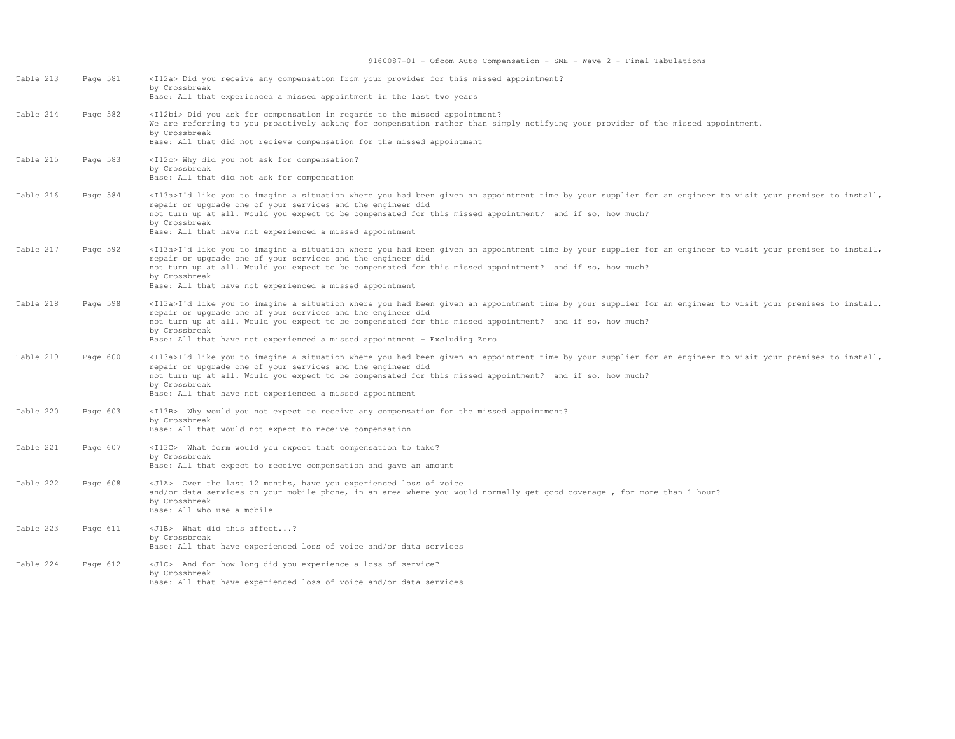| Table 213 | Page 581 | <i12a> Did you receive any compensation from your provider for this missed appointment?<br/>by Crossbreak<br/>Base: All that experienced a missed appointment in the last two years</i12a>                                                                                                                                                                                                                                                     |
|-----------|----------|------------------------------------------------------------------------------------------------------------------------------------------------------------------------------------------------------------------------------------------------------------------------------------------------------------------------------------------------------------------------------------------------------------------------------------------------|
| Table 214 | Page 582 | <i12bi> Did you ask for compensation in regards to the missed appointment?<br/>We are referring to you proactively asking for compensation rather than simply notifying your provider of the missed appointment.<br/>by Crossbreak<br/>Base: All that did not recieve compensation for the missed appointment</i12bi>                                                                                                                          |
| Table 215 | Page 583 | <i12c> Why did you not ask for compensation?<br/>by Crossbreak<br/>Base: All that did not ask for compensation</i12c>                                                                                                                                                                                                                                                                                                                          |
| Table 216 | Page 584 | <il3a>I'd like you to imagine a situation where you had been given an appointment time by your supplier for an engineer to visit your premises to install,<br/>repair or upgrade one of your services and the engineer did<br/>not turn up at all. Would you expect to be compensated for this missed appointment? and if so, how much?<br/>by Crossbreak<br/>Base: All that have not experienced a missed appointment</il3a>                  |
| Table 217 | Page 592 | <il3a>I'd like you to imagine a situation where you had been given an appointment time by your supplier for an engineer to visit your premises to install,<br/>repair or upgrade one of your services and the engineer did<br/>not turn up at all. Would you expect to be compensated for this missed appointment? and if so, how much?<br/>by Crossbreak<br/>Base: All that have not experienced a missed appointment</il3a>                  |
| Table 218 | Page 598 | <il3a>I'd like you to imagine a situation where you had been given an appointment time by your supplier for an engineer to visit your premises to install,<br/>repair or upgrade one of your services and the engineer did<br/>not turn up at all. Would you expect to be compensated for this missed appointment? and if so, how much?<br/>by Crossbreak<br/>Base: All that have not experienced a missed appointment - Excluding Zero</il3a> |
| Table 219 | Page 600 | <il3a>I'd like you to imagine a situation where you had been given an appointment time by your supplier for an engineer to visit your premises to install,<br/>repair or upgrade one of your services and the engineer did<br/>not turn up at all. Would you expect to be compensated for this missed appointment? and if so, how much?<br/>by Crossbreak<br/>Base: All that have not experienced a missed appointment</il3a>                  |
| Table 220 | Page 603 | <i13b> Why would you not expect to receive any compensation for the missed appointment?<br/>by Crossbreak<br/>Base: All that would not expect to receive compensation</i13b>                                                                                                                                                                                                                                                                   |
| Table 221 | Page 607 | <i13c> What form would you expect that compensation to take?<br/>by Crossbreak<br/>Base: All that expect to receive compensation and gave an amount</i13c>                                                                                                                                                                                                                                                                                     |
| Table 222 | Page 608 | <j1a> Over the last 12 months, have you experienced loss of voice<br/>and/or data services on your mobile phone, in an area where you would normally get good coverage, for more than 1 hour?<br/>by Crossbreak<br/>Base: All who use a mobile</j1a>                                                                                                                                                                                           |
| Table 223 | Page 611 | <j1b> What did this affect?<br/>by Crossbreak<br/>Base: All that have experienced loss of voice and/or data services</j1b>                                                                                                                                                                                                                                                                                                                     |
| Table 224 | Page 612 | <j1c> And for how long did you experience a loss of service?<br/>by Crossbreak<br/>Base: All that have experienced loss of voice and/or data services</j1c>                                                                                                                                                                                                                                                                                    |